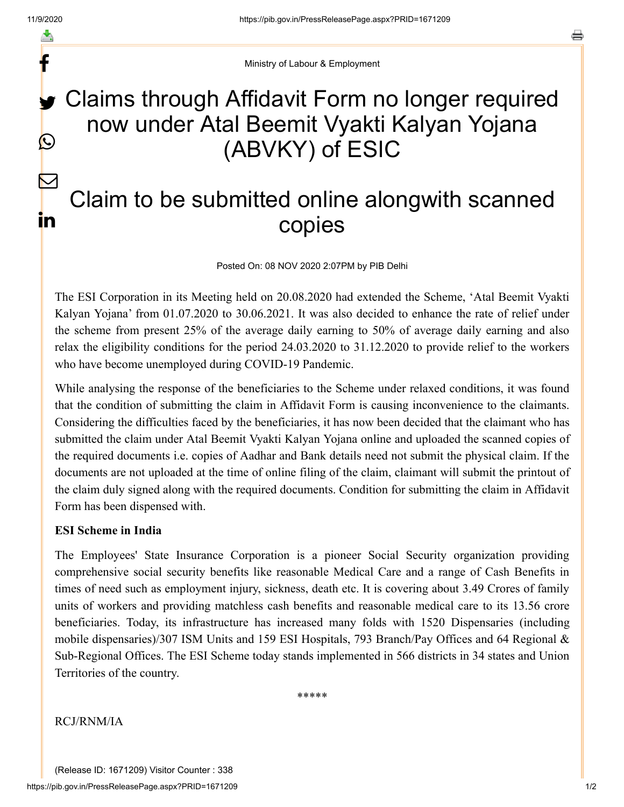f

y.

 $\bigcirc$ 

 $\sum$ 

in

Ministry of Labour & Employment

## Claims through Affidavit Form no longer required now under Atal Beemit Vyakti Kalyan Yojana (ABVKY) of ESIC

## Claim to be submitted online alongwith scanned copies

Posted On: 08 NOV 2020 2:07PM by PIB Delhi

The ESI Corporation in its Meeting held on 20.08.2020 had extended the Scheme, 'Atal Beemit Vyakti Kalyan Yojana' from 01.07.2020 to 30.06.2021. It was also decided to enhance the rate of relief under the scheme from present 25% of the average daily earning to 50% of average daily earning and also relax the eligibility conditions for the period 24.03.2020 to 31.12.2020 to provide relief to the workers who have become unemployed during COVID-19 Pandemic.

While analysing the response of the beneficiaries to the Scheme under relaxed conditions, it was found that the condition of submitting the claim in Affidavit Form is causing inconvenience to the claimants. Considering the difficulties faced by the beneficiaries, it has now been decided that the claimant who has submitted the claim under Atal Beemit Vyakti Kalyan Yojana online and uploaded the scanned copies of the required documents i.e. copies of Aadhar and Bank details need not submit the physical claim. If the documents are not uploaded at the time of online filing of the claim, claimant will submit the printout of the claim duly signed along with the required documents. Condition for submitting the claim in Affidavit Form has been dispensed with.

## **ESI Scheme in India**

The Employees' State Insurance Corporation is a pioneer Social Security organization providing comprehensive social security benefits like reasonable Medical Care and a range of Cash Benefits in times of need such as employment injury, sickness, death etc. It is covering about 3.49 Crores of family units of workers and providing matchless cash benefits and reasonable medical care to its 13.56 crore beneficiaries. Today, its infrastructure has increased many folds with 1520 Dispensaries (including mobile dispensaries)/307 ISM Units and 159 ESI Hospitals, 793 Branch/Pay Offices and 64 Regional & Sub-Regional Offices. The ESI Scheme today stands implemented in 566 districts in 34 states and Union Territories of the country.

\*\*\*\*\*

RCJ/RNM/IA